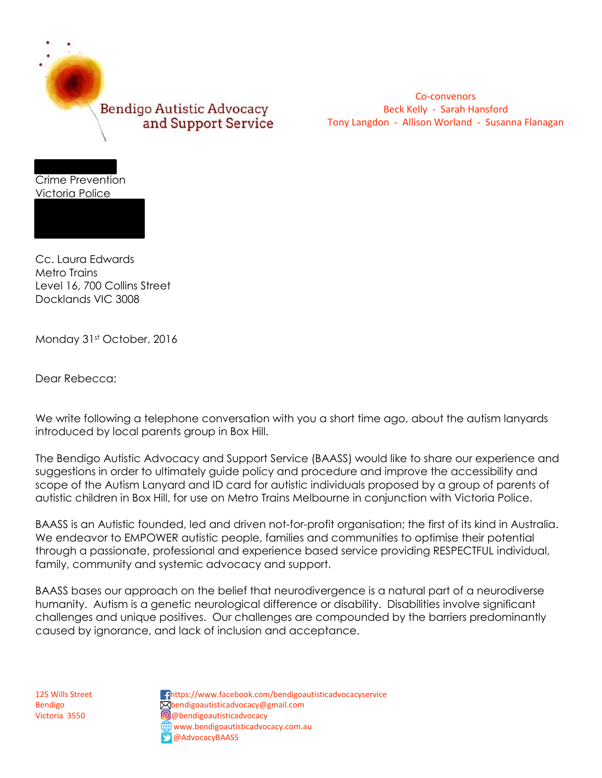

Co-convenors Beck Kelly - Sarah Hansford Tony Langdon - Allison Worland - Susanna Flanagan

Crime Prevention Victoria Police

Box Hill, VIC 3128

Cc. Laura Edwards Metro Trains Level 16, 700 Collins Street Docklands VIC 3008

Monday 31st October, 2016

Dear Rebecca;

We write following a telephone conversation with you a short time ago, about the autism lanyards introduced by local parents group in Box Hill.

The Bendigo Autistic Advocacy and Support Service (BAASS) would like to share our experience and suggestions in order to ultimately guide policy and procedure and improve the accessibility and scope of the Autism Lanyard and ID card for autistic individuals proposed by a group of parents of autistic children in Box Hill, for use on Metro Trains Melbourne in conjunction with Victoria Police.

BAASS is an Autistic founded, led and driven not-for-profit organisation; the first of its kind in Australia. We endeavor to EMPOWER autistic people, families and communities to optimise their potential through a passionate, professional and experience based service providing RESPECTFUL individual, family, community and systemic advocacy and support.

BAASS bases our approach on the belief that neurodivergence is a natural part of a neurodiverse humanity. Autism is a genetic neurological difference or disability. Disabilities involve significant challenges and unique positives. Our challenges are compounded by the barriers predominantly caused by ignorance, and lack of inclusion and acceptance.

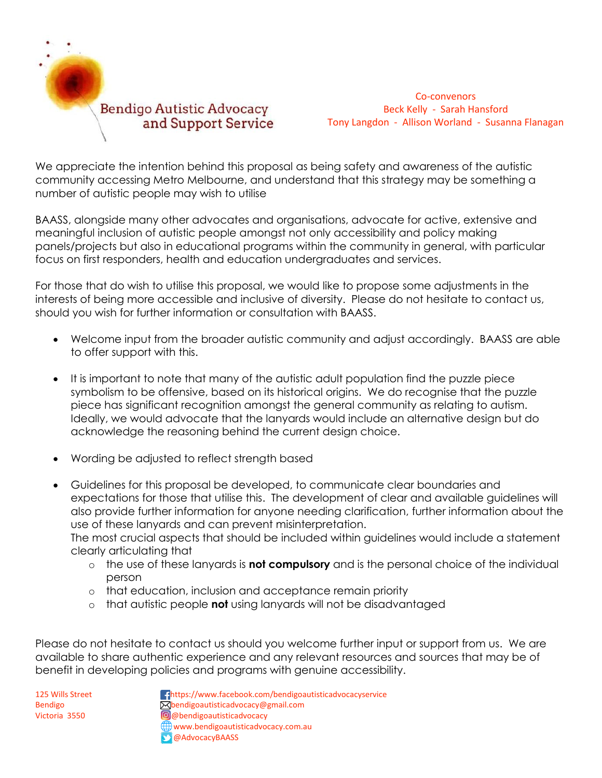

Co-convenors Beck Kelly - Sarah Hansford Tony Langdon - Allison Worland - Susanna Flanagan

We appreciate the intention behind this proposal as being safety and awareness of the autistic community accessing Metro Melbourne, and understand that this strategy may be something a number of autistic people may wish to utilise

BAASS, alongside many other advocates and organisations, advocate for active, extensive and meaningful inclusion of autistic people amongst not only accessibility and policy making panels/projects but also in educational programs within the community in general, with particular focus on first responders, health and education undergraduates and services.

For those that do wish to utilise this proposal, we would like to propose some adjustments in the interests of being more accessible and inclusive of diversity. Please do not hesitate to contact us, should you wish for further information or consultation with BAASS.

- Welcome input from the broader autistic community and adjust accordingly. BAASS are able to offer support with this.
- It is important to note that many of the autistic adult population find the puzzle piece symbolism to be offensive, based on its historical origins. We do recognise that the puzzle piece has significant recognition amongst the general community as relating to autism. Ideally, we would advocate that the lanyards would include an alternative design but do acknowledge the reasoning behind the current design choice.
- Wording be adjusted to reflect strength based
- Guidelines for this proposal be developed, to communicate clear boundaries and expectations for those that utilise this. The development of clear and available guidelines will also provide further information for anyone needing clarification, further information about the use of these lanyards and can prevent misinterpretation.

The most crucial aspects that should be included within guidelines would include a statement clearly articulating that

- o the use of these lanyards is **not compulsory** and is the personal choice of the individual person
- o that education, inclusion and acceptance remain priority
- o that autistic people **not** using lanyards will not be disadvantaged

Please do not hesitate to contact us should you welcome further input or support from us. We are available to share authentic experience and any relevant resources and sources that may be of benefit in developing policies and programs with genuine accessibility.